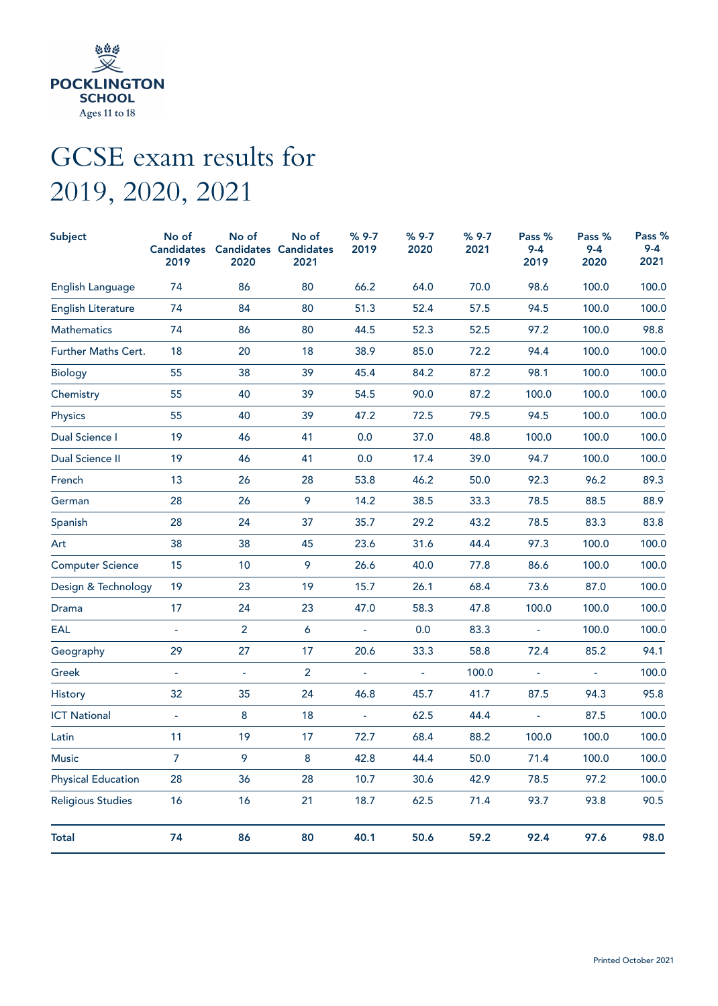

## GCSE exam results for 2019, 2020, 2021

| <b>Subject</b>            | No of<br><b>Candidates</b><br>2019 | No of<br>2020  | No of<br><b>Candidates Candidates</b><br>2021 | $%9-7$<br>2019 | $%9-7$<br>2020 | $%9-7$<br>2021 | Pass %<br>$9 - 4$<br>2019 | Pass %<br>$9 - 4$<br>2020 | Pass %<br>$9 - 4$<br>2021 |
|---------------------------|------------------------------------|----------------|-----------------------------------------------|----------------|----------------|----------------|---------------------------|---------------------------|---------------------------|
| English Language          | 74                                 | 86             | 80                                            | 66.2           | 64.0           | 70.0           | 98.6                      | 100.0                     | 100.0                     |
| <b>English Literature</b> | 74                                 | 84             | 80                                            | 51.3           | 52.4           | 57.5           | 94.5                      | 100.0                     | 100.0                     |
| <b>Mathematics</b>        | 74                                 | 86             | 80                                            | 44.5           | 52.3           | 52.5           | 97.2                      | 100.0                     | 98.8                      |
| Further Maths Cert.       | 18                                 | 20             | 18                                            | 38.9           | 85.0           | 72.2           | 94.4                      | 100.0                     | 100.0                     |
| Biology                   | 55                                 | 38             | 39                                            | 45.4           | 84.2           | 87.2           | 98.1                      | 100.0                     | 100.0                     |
| Chemistry                 | 55                                 | 40             | 39                                            | 54.5           | 90.0           | 87.2           | 100.0                     | 100.0                     | 100.0                     |
| Physics                   | 55                                 | 40             | 39                                            | 47.2           | 72.5           | 79.5           | 94.5                      | 100.0                     | 100.0                     |
| Dual Science I            | 19                                 | 46             | 41                                            | 0.0            | 37.0           | 48.8           | 100.0                     | 100.0                     | 100.0                     |
| Dual Science II           | 19                                 | 46             | 41                                            | 0.0            | 17.4           | 39.0           | 94.7                      | 100.0                     | 100.0                     |
| French                    | 13                                 | 26             | 28                                            | 53.8           | 46.2           | 50.0           | 92.3                      | 96.2                      | 89.3                      |
| German                    | 28                                 | 26             | 9                                             | 14.2           | 38.5           | 33.3           | 78.5                      | 88.5                      | 88.9                      |
| Spanish                   | 28                                 | 24             | 37                                            | 35.7           | 29.2           | 43.2           | 78.5                      | 83.3                      | 83.8                      |
| Art                       | 38                                 | 38             | 45                                            | 23.6           | 31.6           | 44.4           | 97.3                      | 100.0                     | 100.0                     |
| <b>Computer Science</b>   | 15                                 | 10             | 9                                             | 26.6           | 40.0           | 77.8           | 86.6                      | 100.0                     | 100.0                     |
| Design & Technology       | 19                                 | 23             | 19                                            | 15.7           | 26.1           | 68.4           | 73.6                      | 87.0                      | 100.0                     |
| Drama                     | 17                                 | 24             | 23                                            | 47.0           | 58.3           | 47.8           | 100.0                     | 100.0                     | 100.0                     |
| EAL                       |                                    | $\overline{2}$ | 6                                             | ä,             | 0.0            | 83.3           | $\blacksquare$            | 100.0                     | 100.0                     |
| Geography                 | 29                                 | 27             | 17                                            | 20.6           | 33.3           | 58.8           | 72.4                      | 85.2                      | 94.1                      |
| Greek                     | $\blacksquare$                     | $\blacksquare$ | $\overline{2}$                                | $\blacksquare$ | ä,             | 100.0          | $\overline{\phantom{a}}$  |                           | 100.0                     |
| History                   | 32                                 | 35             | 24                                            | 46.8           | 45.7           | 41.7           | 87.5                      | 94.3                      | 95.8                      |
| <b>ICT National</b>       | $\bar{\phantom{a}}$                | 8              | 18                                            | $\blacksquare$ | 62.5           | 44.4           | ä,                        | 87.5                      | 100.0                     |
| Latin                     | 11                                 | 19             | 17                                            | 72.7           | 68.4           | 88.2           | 100.0                     | 100.0                     | 100.0                     |
| Music                     | 7                                  | 9              | 8                                             | 42.8           | 44.4           | 50.0           | 71.4                      | 100.0                     | 100.0                     |
| <b>Physical Education</b> | 28                                 | 36             | 28                                            | 10.7           | 30.6           | 42.9           | 78.5                      | 97.2                      | 100.0                     |
| <b>Religious Studies</b>  | 16                                 | 16             | 21                                            | 18.7           | 62.5           | 71.4           | 93.7                      | 93.8                      | 90.5                      |
| <b>Total</b>              | 74                                 | 86             | 80                                            | 40.1           | 50.6           | 59.2           | 92.4                      | 97.6                      | 98.0                      |